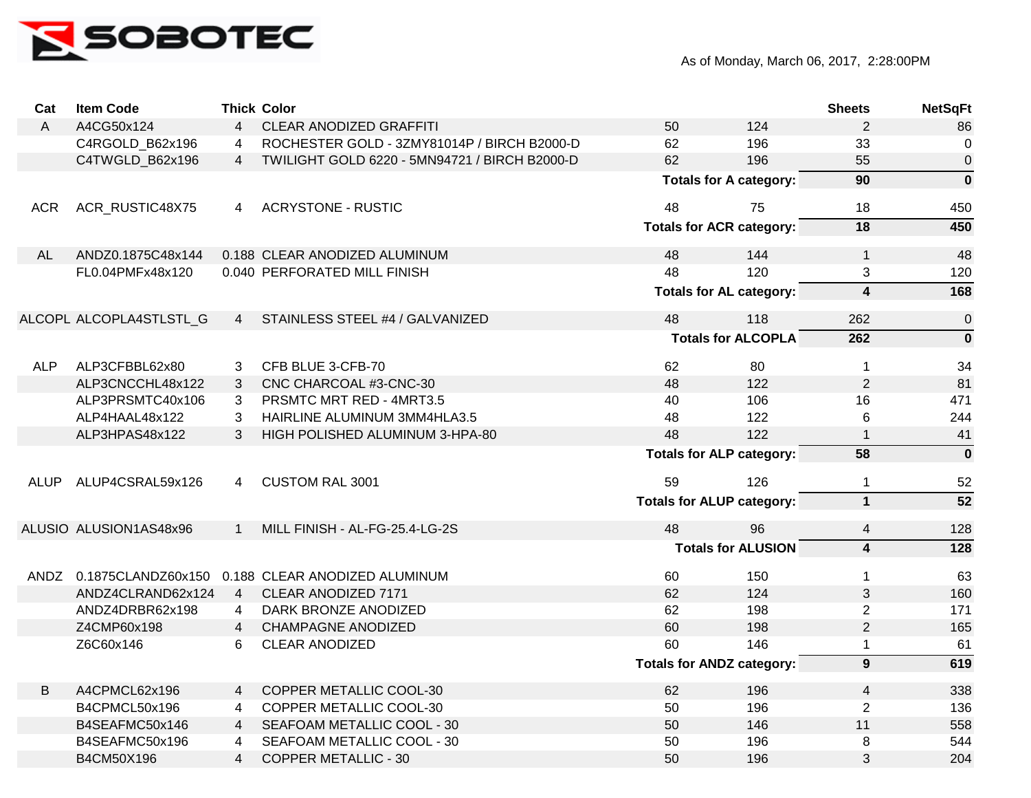

| Cat          | <b>Item Code</b>        |                | <b>Thick Color</b>                                    |                                  |                                  | <b>Sheets</b>           | <b>NetSqFt</b>   |
|--------------|-------------------------|----------------|-------------------------------------------------------|----------------------------------|----------------------------------|-------------------------|------------------|
| $\mathsf{A}$ | A4CG50x124              | $\overline{4}$ | <b>CLEAR ANODIZED GRAFFITI</b>                        | 50                               | 124                              | $\overline{2}$          | 86               |
|              | C4RGOLD_B62x196         | $\overline{4}$ | ROCHESTER GOLD - 3ZMY81014P / BIRCH B2000-D           | 62                               | 196                              | 33                      | 0                |
|              | C4TWGLD B62x196         | $\overline{4}$ | TWILIGHT GOLD 6220 - 5MN94721 / BIRCH B2000-D         | 62                               | 196                              | 55                      | $\boldsymbol{0}$ |
|              |                         |                |                                                       |                                  | <b>Totals for A category:</b>    | 90                      | $\mathbf 0$      |
| <b>ACR</b>   | ACR_RUSTIC48X75         | 4              | <b>ACRYSTONE - RUSTIC</b>                             | 48                               | 75                               | 18                      | 450              |
|              |                         |                |                                                       |                                  | <b>Totals for ACR category:</b>  | 18                      | 450              |
| AL           | ANDZ0.1875C48x144       |                | 0.188 CLEAR ANODIZED ALUMINUM                         | 48                               | 144                              | $\mathbf{1}$            | 48               |
|              | FL0.04PMFx48x120        |                | 0.040 PERFORATED MILL FINISH                          | 48                               | 120                              | 3                       | 120              |
|              |                         |                |                                                       |                                  | <b>Totals for AL category:</b>   | $\overline{\mathbf{4}}$ | 168              |
|              | ALCOPL ALCOPLA4STLSTL G | $\overline{4}$ | STAINLESS STEEL #4 / GALVANIZED                       | 48                               | 118                              | 262                     | $\pmb{0}$        |
|              |                         |                |                                                       | <b>Totals for ALCOPLA</b>        |                                  | 262                     | $\mathbf 0$      |
| <b>ALP</b>   | ALP3CFBBL62x80          | 3              | CFB BLUE 3-CFB-70                                     | 62                               | 80                               | $\mathbf{1}$            | 34               |
|              | ALP3CNCCHL48x122        | 3              | CNC CHARCOAL #3-CNC-30                                | 48                               | 122                              | $\overline{2}$          | 81               |
|              | ALP3PRSMTC40x106        | 3              | PRSMTC MRT RED - 4MRT3.5                              | 40                               | 106                              | 16                      | 471              |
|              | ALP4HAAL48x122          | 3              | HAIRLINE ALUMINUM 3MM4HLA3.5                          | 48                               | 122                              | 6                       | 244              |
|              | ALP3HPAS48x122          | 3              | HIGH POLISHED ALUMINUM 3-HPA-80                       | 48                               | 122                              | $\mathbf{1}$            | 41               |
|              |                         |                |                                                       |                                  | <b>Totals for ALP category:</b>  | 58                      | $\mathbf 0$      |
|              | ALUP ALUP4CSRAL59x126   | $\overline{4}$ | <b>CUSTOM RAL 3001</b>                                | 59                               | 126                              | $\mathbf{1}$            | 52               |
|              |                         |                |                                                       | <b>Totals for ALUP category:</b> |                                  | $\mathbf{1}$            | $\overline{52}$  |
|              | ALUSIO ALUSION1AS48x96  | $\mathbf{1}$   | MILL FINISH - AL-FG-25.4-LG-2S                        | 48                               | 96                               | 4                       | 128              |
|              |                         |                |                                                       | <b>Totals for ALUSION</b>        |                                  | $\overline{\mathbf{4}}$ | 128              |
|              |                         |                | ANDZ 0.1875CLANDZ60x150 0.188 CLEAR ANODIZED ALUMINUM | 60                               | 150                              | $\mathbf{1}$            | 63               |
|              | ANDZ4CLRAND62x124       |                | 4 CLEAR ANODIZED 7171                                 | 62                               | 124                              | 3                       | 160              |
|              | ANDZ4DRBR62x198         | 4              | DARK BRONZE ANODIZED                                  | 62                               | 198                              | $\overline{2}$          | 171              |
|              | Z4CMP60x198             | $4 \quad$      | <b>CHAMPAGNE ANODIZED</b>                             | 60                               | 198                              | $\overline{2}$          | 165              |
|              | Z6C60x146               | 6              | <b>CLEAR ANODIZED</b>                                 | 60                               | 146                              | $\mathbf{1}$            | 61               |
|              |                         |                |                                                       |                                  | <b>Totals for ANDZ category:</b> | $\overline{9}$          | 619              |
| B            | A4CPMCL62x196           | $\overline{4}$ | COPPER METALLIC COOL-30                               | 62                               | 196                              | $\overline{4}$          | 338              |
|              | B4CPMCL50x196           | 4              | COPPER METALLIC COOL-30                               | 50                               | 196                              | $\overline{2}$          | 136              |
|              | B4SEAFMC50x146          | $\overline{4}$ | SEAFOAM METALLIC COOL - 30                            | 50                               | 146                              | 11                      | 558              |
|              | B4SEAFMC50x196          | 4              | SEAFOAM METALLIC COOL - 30                            | 50                               | 196                              | 8                       | 544              |
|              | B4CM50X196              | $\overline{4}$ | <b>COPPER METALLIC - 30</b>                           | 50                               | 196                              | 3                       | 204              |
|              |                         |                |                                                       |                                  |                                  |                         |                  |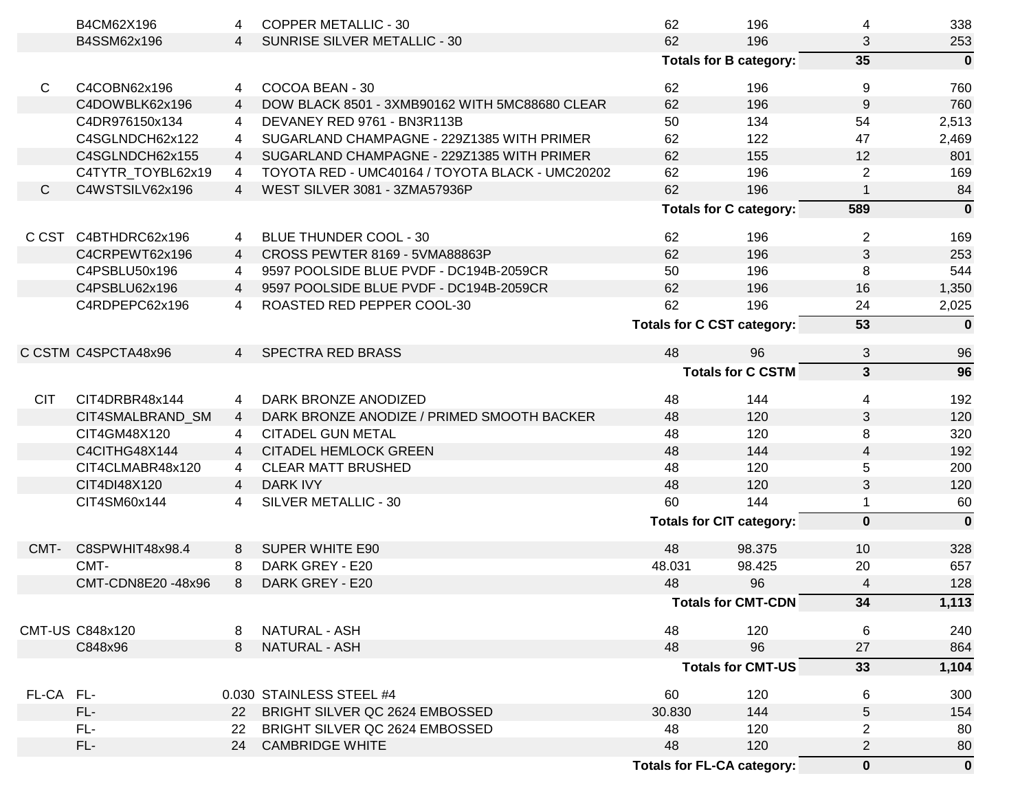|              | B4CM62X196             | 4              | <b>COPPER METALLIC - 30</b>                     | 62                              | 196                               | 4                       | 338          |
|--------------|------------------------|----------------|-------------------------------------------------|---------------------------------|-----------------------------------|-------------------------|--------------|
|              | B4SSM62x196            | $\overline{4}$ | SUNRISE SILVER METALLIC - 30                    | 62                              | 196                               | 3                       | 253          |
|              |                        |                |                                                 |                                 | <b>Totals for B category:</b>     | 35                      | $\mathbf{0}$ |
| $\mathsf{C}$ | C4COBN62x196           | 4              | COCOA BEAN - 30                                 | 62                              | 196                               | 9                       | 760          |
|              | C4DOWBLK62x196         | $\overline{4}$ | DOW BLACK 8501 - 3XMB90162 WITH 5MC88680 CLEAR  | 62                              | 196                               | 9                       | 760          |
|              | C4DR976150x134         | $\overline{4}$ | DEVANEY RED 9761 - BN3R113B                     | 50                              | 134                               | 54                      | 2,513        |
|              | C4SGLNDCH62x122        | 4              | SUGARLAND CHAMPAGNE - 229Z1385 WITH PRIMER      | 62                              | 122                               | 47                      | 2,469        |
|              | C4SGLNDCH62x155        | $\overline{4}$ | SUGARLAND CHAMPAGNE - 229Z1385 WITH PRIMER      | 62                              | 155                               | 12                      | 801          |
|              | C4TYTR_TOYBL62x19      | 4              | TOYOTA RED - UMC40164 / TOYOTA BLACK - UMC20202 | 62                              | 196                               | 2                       | 169          |
| $\mathsf{C}$ | C4WSTSILV62x196        | $\overline{4}$ | WEST SILVER 3081 - 3ZMA57936P                   | 62                              | 196                               | $\mathbf 1$             | 84           |
|              |                        |                |                                                 | <b>Totals for C category:</b>   |                                   | 589                     | $\mathbf 0$  |
|              | C CST C4BTHDRC62x196   | 4              | <b>BLUE THUNDER COOL - 30</b>                   | 62                              | 196                               | $\overline{2}$          | 169          |
|              | C4CRPEWT62x196         | $\overline{4}$ | CROSS PEWTER 8169 - 5VMA88863P                  | 62                              | 196                               | 3                       | 253          |
|              | C4PSBLU50x196          | $\overline{4}$ | 9597 POOLSIDE BLUE PVDF - DC194B-2059CR         | 50                              | 196                               | 8                       | 544          |
|              | C4PSBLU62x196          | $\overline{4}$ | 9597 POOLSIDE BLUE PVDF - DC194B-2059CR         | 62                              | 196                               | 16                      | 1,350        |
|              | C4RDPEPC62x196         | 4              | ROASTED RED PEPPER COOL-30                      | 62                              | 196                               | 24                      | 2,025        |
|              |                        |                |                                                 |                                 | <b>Totals for C CST category:</b> | 53                      | $\mathbf{0}$ |
|              | C CSTM C4SPCTA48x96    | $\overline{4}$ | <b>SPECTRA RED BRASS</b>                        | 48                              | 96                                | $\sqrt{3}$              | 96           |
|              |                        |                |                                                 |                                 | <b>Totals for C CSTM</b>          | $\overline{\mathbf{3}}$ | 96           |
|              |                        |                |                                                 |                                 |                                   |                         |              |
| <b>CIT</b>   | CIT4DRBR48x144         | 4              | DARK BRONZE ANODIZED                            | 48                              | 144                               | 4                       | 192          |
|              | CIT4SMALBRAND_SM       | $\overline{4}$ | DARK BRONZE ANODIZE / PRIMED SMOOTH BACKER      | 48                              | 120                               | 3                       | 120          |
|              | CIT4GM48X120           | 4              | <b>CITADEL GUN METAL</b>                        | 48                              | 120                               | 8                       | 320          |
|              | C4CITHG48X144          | $\overline{4}$ | <b>CITADEL HEMLOCK GREEN</b>                    | 48                              | 144                               | $\overline{4}$          | 192          |
|              | CIT4CLMABR48x120       | 4              | <b>CLEAR MATT BRUSHED</b>                       | 48                              | 120                               | 5                       | 200          |
|              | CIT4DI48X120           | $\overline{4}$ | <b>DARK IVY</b>                                 | 48                              | 120                               | 3                       | 120          |
|              | CIT4SM60x144           | 4              | SILVER METALLIC - 30                            | 60                              | 144                               | $\mathbf{1}$            | 60           |
|              |                        |                |                                                 | <b>Totals for CIT category:</b> |                                   | $\mathbf 0$             | $\mathbf{0}$ |
| CMT-         | C8SPWHIT48x98.4        | 8              | <b>SUPER WHITE E90</b>                          | 48                              | 98.375                            | 10                      | 328          |
|              | CMT-                   | 8              | DARK GREY - E20                                 | 48.031                          | 98.425                            | 20                      | 657          |
|              | CMT-CDN8E20 -48x96     | 8              | DARK GREY - E20                                 | 48                              | 96                                | 4                       | 128          |
|              |                        |                |                                                 |                                 | <b>Totals for CMT-CDN</b>         | 34                      | 1,113        |
|              |                        |                |                                                 |                                 |                                   |                         |              |
|              | <b>CMT-US C848x120</b> | 8              | NATURAL - ASH                                   | 48                              | 120                               | 6                       | 240          |
|              | C848x96                | 8              | <b>NATURAL - ASH</b>                            | 48                              | 96                                | 27                      | 864          |
|              |                        |                |                                                 | <b>Totals for CMT-US</b>        |                                   | 33                      | 1,104        |
| FL-CA FL-    |                        |                | 0.030 STAINLESS STEEL #4                        | 60                              | 120                               | 6                       | 300          |
|              | $FL-$                  | <b>22</b>      | BRIGHT SILVER QC 2624 EMBOSSED                  | 30.830                          | 144                               | 5                       | 154          |
|              | FL-                    | 22             | BRIGHT SILVER QC 2624 EMBOSSED                  | 48                              | 120                               | $\overline{2}$          | 80           |
|              | FL-                    | 24             | <b>CAMBRIDGE WHITE</b>                          | 48                              | 120                               | $\overline{c}$          | 80           |
|              |                        |                |                                                 |                                 | <b>Totals for FL-CA category:</b> | $\mathbf 0$             | $\mathbf 0$  |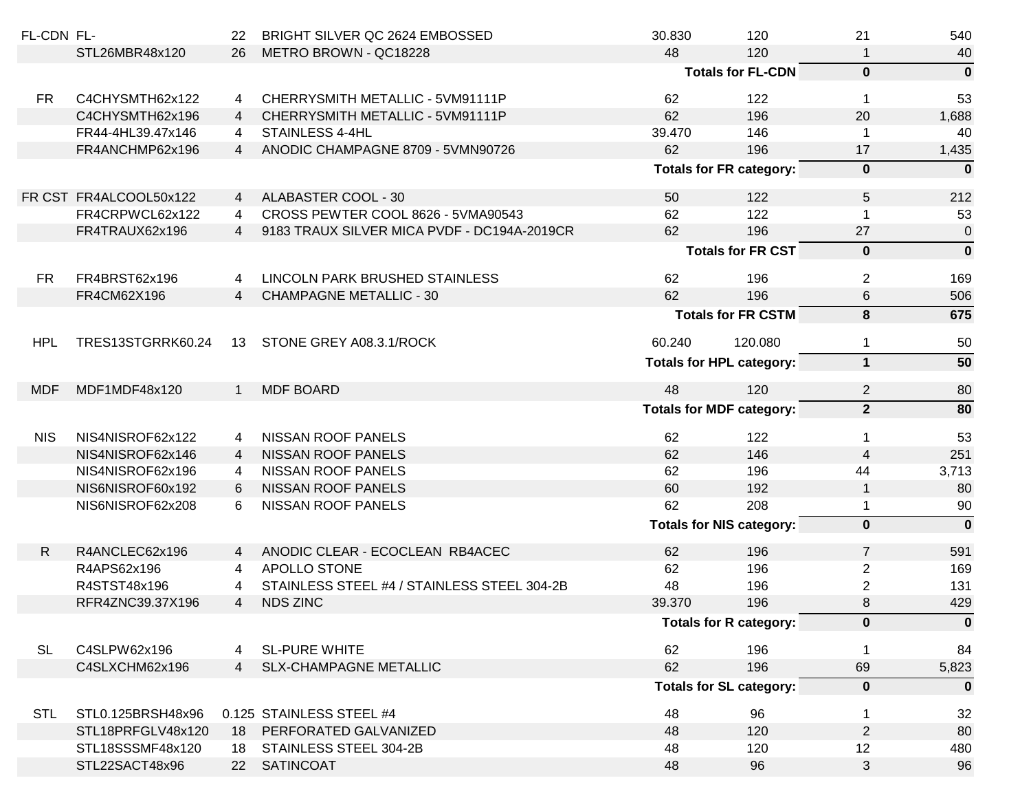| FL-CDN FL-   |                        | 22             | BRIGHT SILVER QC 2624 EMBOSSED              | 30.830                          | 120                             | 21              | 540          |
|--------------|------------------------|----------------|---------------------------------------------|---------------------------------|---------------------------------|-----------------|--------------|
|              | STL26MBR48x120         | 26             | METRO BROWN - QC18228                       | 48                              | 120                             | 1               | 40           |
|              |                        |                |                                             | <b>Totals for FL-CDN</b>        |                                 | $\mathbf{0}$    | $\mathbf{0}$ |
| <b>FR</b>    | C4CHYSMTH62x122        | 4              | CHERRYSMITH METALLIC - 5VM91111P            | 62                              | 122                             | $\mathbf{1}$    | 53           |
|              | C4CHYSMTH62x196        | $\overline{4}$ | CHERRYSMITH METALLIC - 5VM91111P            | 62                              | 196                             | 20              | 1,688        |
|              | FR44-4HL39.47x146      | $\overline{4}$ | STAINLESS 4-4HL                             | 39.470                          | 146                             |                 | 40           |
|              | FR4ANCHMP62x196        | $\overline{4}$ | ANODIC CHAMPAGNE 8709 - 5VMN90726           | 62                              | 196                             | 17              | 1,435        |
|              |                        |                |                                             | <b>Totals for FR category:</b>  |                                 | $\pmb{0}$       | $\mathbf 0$  |
|              | FR CST FR4ALCOOL50x122 | $\overline{4}$ | ALABASTER COOL - 30                         | 50                              | 122                             | $5\phantom{.0}$ | 212          |
|              | FR4CRPWCL62x122        | $\overline{4}$ | CROSS PEWTER COOL 8626 - 5VMA90543          | 62                              | 122                             | 1               | 53           |
|              | FR4TRAUX62x196         | $\overline{4}$ | 9183 TRAUX SILVER MICA PVDF - DC194A-2019CR | 62                              | 196                             | 27              | $\mathbf 0$  |
|              |                        |                |                                             | <b>Totals for FR CST</b>        |                                 | $\pmb{0}$       | $\mathbf 0$  |
| <b>FR</b>    | FR4BRST62x196          | 4              | LINCOLN PARK BRUSHED STAINLESS              | 62                              | 196                             | $\overline{2}$  | 169          |
|              | FR4CM62X196            | $\overline{4}$ | <b>CHAMPAGNE METALLIC - 30</b>              | 62                              | 196                             | 6               | 506          |
|              |                        |                |                                             |                                 |                                 |                 |              |
|              |                        |                |                                             |                                 | <b>Totals for FR CSTM</b>       | 8               | 675          |
| <b>HPL</b>   | TRES13STGRRK60.24      | 13             | STONE GREY A08.3.1/ROCK                     | 60.240                          | 120.080                         | $\mathbf{1}$    | 50           |
|              |                        |                |                                             |                                 | <b>Totals for HPL category:</b> | $\mathbf{1}$    | 50           |
| <b>MDF</b>   | MDF1MDF48x120          | 1              | <b>MDF BOARD</b>                            | 48                              | 120                             | $\overline{2}$  | 80           |
|              |                        |                |                                             |                                 | <b>Totals for MDF category:</b> | 2 <sup>1</sup>  | 80           |
| <b>NIS</b>   | NIS4NISROF62x122       | 4              | <b>NISSAN ROOF PANELS</b>                   | 62                              | 122                             | $\mathbf 1$     | 53           |
|              | NIS4NISROF62x146       | $\overline{4}$ | <b>NISSAN ROOF PANELS</b>                   | 62                              | 146                             | 4               | 251          |
|              | NIS4NISROF62x196       | 4              | NISSAN ROOF PANELS                          | 62                              | 196                             | 44              | 3,713        |
|              | NIS6NISROF60x192       | 6              | <b>NISSAN ROOF PANELS</b>                   | 60                              | 192                             | $\mathbf{1}$    | 80           |
|              | NIS6NISROF62x208       | 6              | NISSAN ROOF PANELS                          | 62                              | 208                             | $\mathbf{1}$    | 90           |
|              |                        |                |                                             | <b>Totals for NIS category:</b> |                                 | $\mathbf 0$     | $\mathbf 0$  |
| $\mathsf{R}$ | R4ANCLEC62x196         | 4              | ANODIC CLEAR - ECOCLEAN RB4ACEC             | 62                              | 196                             | $\overline{7}$  | 591          |
|              | R4APS62x196            | $\overline{4}$ | APOLLO STONE                                | 62                              | 196                             | $\overline{c}$  | 169          |
|              | R4STST48x196           | 4              | STAINLESS STEEL #4 / STAINLESS STEEL 304-2B | 48                              | 196                             | $\overline{2}$  | 131          |
|              | RFR4ZNC39.37X196       | $\overline{4}$ | <b>NDS ZINC</b>                             | 39.370                          | 196                             | 8               | 429          |
|              |                        |                |                                             | <b>Totals for R category:</b>   |                                 | $\bf{0}$        | $\mathbf 0$  |
| <b>SL</b>    | C4SLPW62x196           | 4              | <b>SL-PURE WHITE</b>                        | 62                              | 196                             | 1               | 84           |
|              | C4SLXCHM62x196         | $\overline{4}$ | <b>SLX-CHAMPAGNE METALLIC</b>               | 62                              | 196                             | 69              | 5,823        |
|              |                        |                |                                             | <b>Totals for SL category:</b>  |                                 | $\bf{0}$        | $\mathbf{0}$ |
| <b>STL</b>   | STL0.125BRSH48x96      |                | 0.125 STAINLESS STEEL #4                    | 48                              | 96                              | $\mathbf 1$     | 32           |
|              | STL18PRFGLV48x120      | 18             | PERFORATED GALVANIZED                       | 48                              | 120                             | $\overline{2}$  | 80           |
|              | STL18SSSMF48x120       | 18             | STAINLESS STEEL 304-2B                      | 48                              | 120                             | 12              | 480          |
|              | STL22SACT48x96         | 22             | <b>SATINCOAT</b>                            | 48                              | 96                              | 3               | 96           |